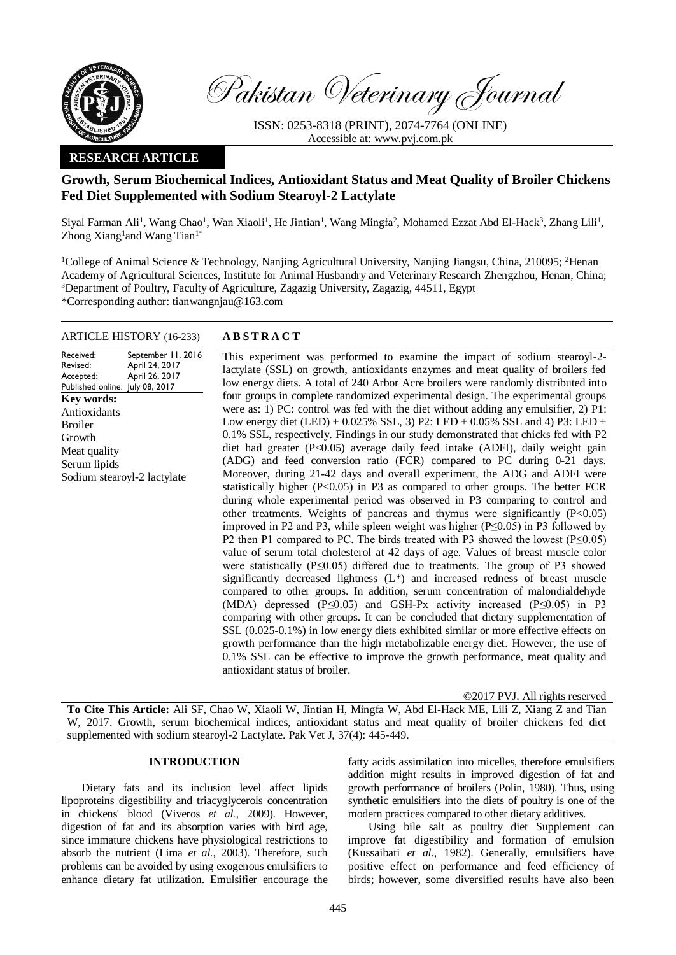

Pakistan Veterinary Journal

ISSN: 0253-8318 (PRINT), 2074-7764 (ONLINE) Accessible at: [www.pvj.com.pk](http://www.pvj.com.pk/)

## **RESEARCH ARTICLE**

# **Growth, Serum Biochemical Indices, Antioxidant Status and Meat Quality of Broiler Chickens Fed Diet Supplemented with Sodium Stearoyl-2 Lactylate**

Siyal Farman Ali<sup>1</sup>, Wang Chao<sup>1</sup>, Wan Xiaoli<sup>1</sup>, He Jintian<sup>1</sup>, Wang Mingfa<sup>2</sup>, Mohamed Ezzat Abd El-Hack<sup>3</sup>, Zhang Lili<sup>1</sup>, Zhong Xiang<sup>1</sup>and Wang Tian<sup>1\*</sup>

<sup>1</sup>College of Animal Science & Technology, Nanjing Agricultural University, Nanjing Jiangsu, China, 210095; <sup>2</sup>Henan Academy of Agricultural Sciences, Institute for Animal Husbandry and Veterinary Research Zhengzhou, Henan, China; <sup>3</sup>Department of Poultry, Faculty of Agriculture, Zagazig University, Zagazig, 44511, Egypt \*Corresponding author: tianwangnjau@163.com

#### ARTICLE HISTORY (16-233) **A B S T R A C T**

#### Received: Revised: Accepted: Published online: July 08, 2017 September 11, 2016 April 24, 2017 April 26, 2017 **Key words:**  Antioxidants Broiler Growth Meat quality Serum lipids

Sodium stearoyl-2 lactylate

This experiment was performed to examine the impact of sodium stearoyl-2 lactylate (SSL) on growth, antioxidants enzymes and meat quality of broilers fed low energy diets. A total of 240 Arbor Acre broilers were randomly distributed into four groups in complete randomized experimental design. The experimental groups were as: 1) PC: control was fed with the diet without adding any emulsifier, 2) P1: Low energy diet (LED) + 0.025% SSL, 3) P2: LED + 0.05% SSL and 4) P3: LED + 0.1% SSL, respectively. Findings in our study demonstrated that chicks fed with P2 diet had greater (P<0.05) average daily feed intake (ADFI), daily weight gain (ADG) and feed conversion ratio (FCR) compared to PC during 0-21 days. Moreover, during 21-42 days and overall experiment, the ADG and ADFI were statistically higher  $(P<0.05)$  in P3 as compared to other groups. The better FCR during whole experimental period was observed in P3 comparing to control and other treatments. Weights of pancreas and thymus were significantly (P<0.05) improved in P2 and P3, while spleen weight was higher (P≤0.05) in P3 followed by P2 then P1 compared to PC. The birds treated with P3 showed the lowest (P≤0.05) value of serum total cholesterol at 42 days of age. Values of breast muscle color were statistically (P≤0.05) differed due to treatments. The group of P3 showed significantly decreased lightness (L*\**) and increased redness of breast muscle compared to other groups. In addition, serum concentration of malondialdehyde (MDA) depressed  $(P \le 0.05)$  and GSH-Px activity increased  $(P \le 0.05)$  in P3 comparing with other groups. It can be concluded that dietary supplementation of SSL (0.025-0.1%) in low energy diets exhibited similar or more effective effects on growth performance than the high metabolizable energy diet. However, the use of 0.1% SSL can be effective to improve the growth performance, meat quality and antioxidant status of broiler.

©2017 PVJ. All rights reserved

**To Cite This Article:** Ali SF, Chao W, Xiaoli W, Jintian H, Mingfa W, Abd El-Hack ME, Lili Z, Xiang Z and Tian W, 2017. Growth, serum biochemical indices, antioxidant status and meat quality of broiler chickens fed diet supplemented with sodium stearoyl-2 Lactylate. Pak Vet J, 37(4): 445-449.

### **INTRODUCTION**

Dietary fats and its inclusion level affect lipids lipoproteins digestibility and triacyglycerols concentration in chickens' blood [\(Viveros](#page-4-0) *et al.,* 2009). However, digestion of fat and its absorption varies with bird age, since immature chickens have physiological restrictions to absorb the nutrient [\(Lima](#page-4-1) *et al.,* 2003). Therefore, such problems can be avoided by using exogenous emulsifiers to enhance dietary fat utilization. Emulsifier encourage the

fatty acids assimilation into micelles, therefore emulsifiers addition might results in improved digestion of fat and growth performance of broilers [\(Polin, 1980\)](#page-4-2). Thus, using synthetic emulsifiers into the diets of poultry is one of the modern practices compared to other dietary additives.

Using bile salt as poultry diet Supplement can improve fat digestibility and formation of emulsion [\(Kussaibati](#page-4-3) *et al.,* 1982). Generally, emulsifiers have positive effect on performance and feed efficiency of birds; however, some diversified results have also been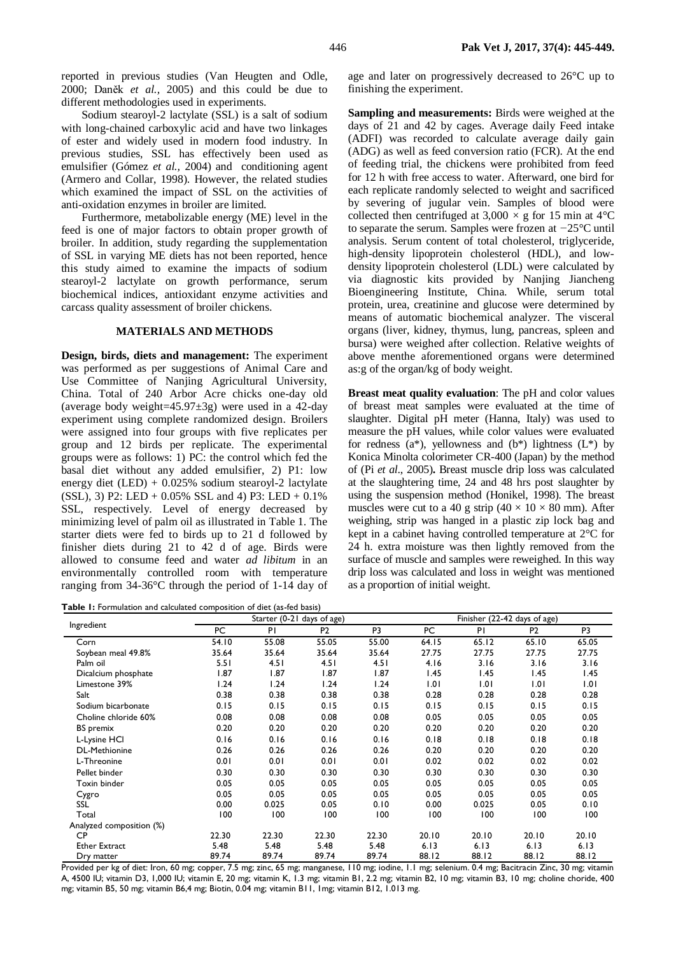reported in previous studies [\(Van Heugten and Odle,](#page-4-4)  [2000;](#page-4-4) [Daněk](#page-4-5) *et al.,* 2005) and this could be due to different methodologies used in experiments.

Sodium stearoyl-2 lactylate (SSL) is a salt of sodium with long-chained carboxylic acid and have two linkages of ester and widely used in modern food industry. In previous studies, SSL has effectively been used as emulsifier [\(Gómez](#page-4-6) *et al.,* 2004) and conditioning agent [\(Armero and Collar, 1998\)](#page-4-7). However, the related studies which examined the impact of SSL on the activities of anti-oxidation enzymes in broiler are limited.

Furthermore, metabolizable energy (ME) level in the feed is one of major factors to obtain proper growth of broiler. In addition, study regarding the supplementation of SSL in varying ME diets has not been reported, hence this study aimed to examine the impacts of sodium stearoyl-2 lactylate on growth performance, serum biochemical indices, antioxidant enzyme activities and carcass quality assessment of broiler chickens.

#### **MATERIALS AND METHODS**

**Design, birds, diets and management:** The experiment was performed as per suggestions of Animal Care and Use Committee of Nanjing Agricultural University, China. Total of 240 Arbor Acre chicks one-day old (average body weight=45.97±3g) were used in a 42-day experiment using complete randomized design. Broilers were assigned into four groups with five replicates per group and 12 birds per replicate. The experimental groups were as follows: 1) PC: the control which fed the basal diet without any added emulsifier, 2) P1: low energy diet (LED) + 0.025% sodium stearoyl-2 lactylate (SSL), 3) P2: LED + 0.05% SSL and 4) P3: LED + 0.1% SSL, respectively. Level of energy decreased by minimizing level of palm oil as illustrated in Table 1. The starter diets were fed to birds up to 21 d followed by finisher diets during 21 to 42 d of age. Birds were allowed to consume feed and water *ad libitum* in an environmentally controlled room with temperature ranging from 34-36°C through the period of 1-14 day of

**Table 1:** Formulation and calculated composition of diet (as-fed basis)

age and later on progressively decreased to 26°C up to finishing the experiment.

**Sampling and measurements:** Birds were weighed at the days of 21 and 42 by cages. Average daily Feed intake (ADFI) was recorded to calculate average daily gain (ADG) as well as feed conversion ratio (FCR). At the end of feeding trial, the chickens were prohibited from feed for 12 h with free access to water. Afterward, one bird for each replicate randomly selected to weight and sacrificed by severing of jugular vein. Samples of blood were collected then centrifuged at  $3,000 \times g$  for 15 min at 4<sup>°</sup>C to separate the serum. Samples were frozen at *−*25*°*C until analysis. Serum content of total cholesterol, triglyceride, high-density lipoprotein cholesterol (HDL), and lowdensity lipoprotein cholesterol (LDL) were calculated by via diagnostic kits provided by Nanjing Jiancheng Bioengineering Institute, China. While, serum total protein, urea, creatinine and glucose were determined by means of automatic biochemical analyzer. The visceral organs (liver, kidney, thymus, lung, pancreas, spleen and bursa) were weighed after collection. Relative weights of above menthe aforementioned organs were determined as:g of the organ/kg of body weight.

**Breast meat quality evaluation**: The pH and color values of breast meat samples were evaluated at the time of slaughter. Digital pH meter (Hanna, Italy) was used to measure the pH values, while color values were evaluated for redness  $(a^*)$ , yellowness and  $(b^*)$  lightness  $(L^*)$  by Konica Minolta colorimeter CR-400 (Japan) by the method of (Pi *et al*[., 2005\)](#page-4-8)**.** Breast muscle drip loss was calculated at the slaughtering time, 24 and 48 hrs post slaughter by using the suspension method [\(Honikel, 1998\)](#page-4-9). The breast muscles were cut to a 40 g strip  $(40 \times 10 \times 80 \text{ mm})$ . After weighing, strip was hanged in a plastic zip lock bag and kept in a cabinet having controlled temperature at 2°C for 24 h. extra moisture was then lightly removed from the surface of muscle and samples were reweighed. In this way drip loss was calculated and loss in weight was mentioned as a proportion of initial weight.

|                          | Starter (0-21 days of age) |       |                |       | Finisher (22-42 days of age) |                |                |                |
|--------------------------|----------------------------|-------|----------------|-------|------------------------------|----------------|----------------|----------------|
| Ingredient               | PC                         | PI    | P <sub>2</sub> | P3    | PC                           | P <sub>1</sub> | P <sub>2</sub> | P <sub>3</sub> |
| Corn                     | 54.10                      | 55.08 | 55.05          | 55.00 | 64.15                        | 65.12          | 65.10          | 65.05          |
| Soybean meal 49.8%       | 35.64                      | 35.64 | 35.64          | 35.64 | 27.75                        | 27.75          | 27.75          | 27.75          |
| Palm oil                 | 5.51                       | 4.51  | 4.51           | 4.51  | 4.16                         | 3.16           | 3.16           | 3.16           |
| Dicalcium phosphate      | 1.87                       | 1.87  | 1.87           | 1.87  | 1.45                         | 1.45           | 1.45           | 1.45           |
| Limestone 39%            | 1.24                       | 1.24  | 1.24           | 1.24  | 1.01                         | 1.01           | 1.01           | 1.01           |
| Salt                     | 0.38                       | 0.38  | 0.38           | 0.38  | 0.28                         | 0.28           | 0.28           | 0.28           |
| Sodium bicarbonate       | 0.15                       | 0.15  | 0.15           | 0.15  | 0.15                         | 0.15           | 0.15           | 0.15           |
| Choline chloride 60%     | 0.08                       | 0.08  | 0.08           | 0.08  | 0.05                         | 0.05           | 0.05           | 0.05           |
| <b>BS</b> premix         | 0.20                       | 0.20  | 0.20           | 0.20  | 0.20                         | 0.20           | 0.20           | 0.20           |
| L-Lysine HCI             | 0.16                       | 0.16  | 0.16           | 0.16  | 0.18                         | 0.18           | 0.18           | 0.18           |
| <b>DL-Methionine</b>     | 0.26                       | 0.26  | 0.26           | 0.26  | 0.20                         | 0.20           | 0.20           | 0.20           |
| L-Threonine              | 0.01                       | 0.01  | 0.01           | 0.01  | 0.02                         | 0.02           | 0.02           | 0.02           |
| Pellet binder            | 0.30                       | 0.30  | 0.30           | 0.30  | 0.30                         | 0.30           | 0.30           | 0.30           |
| Toxin binder             | 0.05                       | 0.05  | 0.05           | 0.05  | 0.05                         | 0.05           | 0.05           | 0.05           |
| Cygro                    | 0.05                       | 0.05  | 0.05           | 0.05  | 0.05                         | 0.05           | 0.05           | 0.05           |
| SSL                      | 0.00                       | 0.025 | 0.05           | 0.10  | 0.00                         | 0.025          | 0.05           | 0.10           |
| Total                    | 100                        | 100   | 100            | 100   | 100                          | 100            | 100            | 100            |
| Analyzed composition (%) |                            |       |                |       |                              |                |                |                |
| <b>CP</b>                | 22.30                      | 22.30 | 22.30          | 22.30 | 20.10                        | 20.10          | 20.10          | 20.10          |
| <b>Ether Extract</b>     | 5.48                       | 5.48  | 5.48           | 5.48  | 6.13                         | 6.13           | 6.13           | 6.13           |
| Dry matter               | 89.74                      | 89.74 | 89.74          | 89.74 | 88.12                        | 88.12          | 88.12          | 88.12          |

Provided per kg of diet: Iron, 60 mg; copper, 7.5 mg; zinc, 65 mg; manganese, 110 mg; iodine, 1.1 mg; selenium. 0.4 mg; Bacitracin Zinc, 30 mg; vitamin A, 4500 IU; vitamin D3, 1,000 IU; vitamin E, 20 mg; vitamin K, 1.3 mg; vitamin B1, 2.2 mg; vitamin B2, 10 mg; vitamin B3, 10 mg; choline choride, 400 mg; vitamin B5, 50 mg; vitamin B6,4 mg; Biotin, 0.04 mg; vitamin B11, 1mg; vitamin B12, 1.013 mg.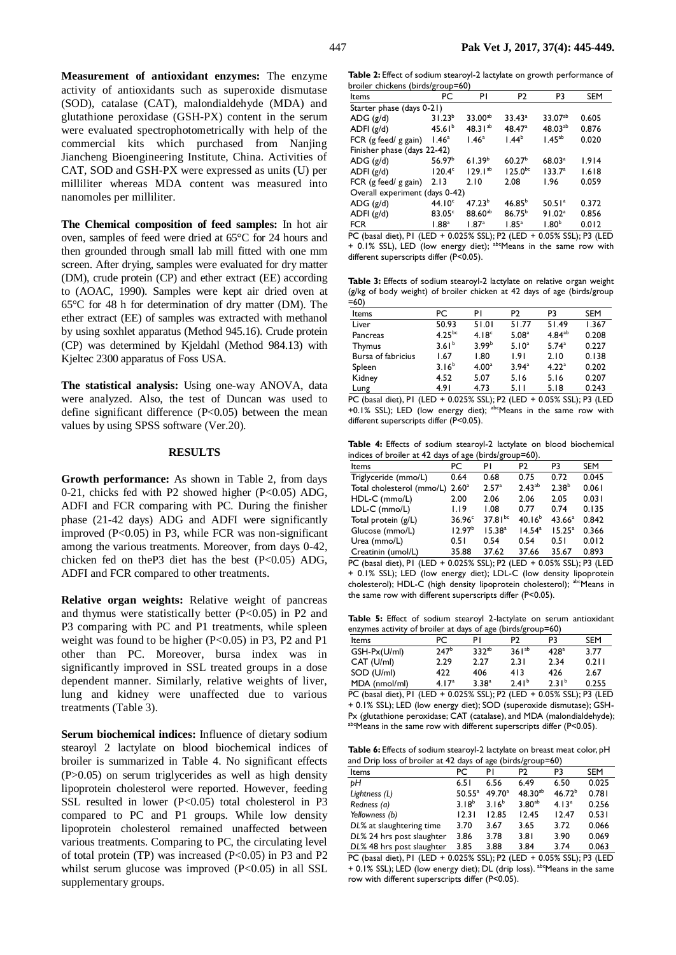**Measurement of antioxidant enzymes:** The enzyme activity of antioxidants such as superoxide dismutase (SOD), catalase (CAT), malondialdehyde (MDA) and glutathione peroxidase (GSH-PX) content in the serum were evaluated spectrophotometrically with help of the commercial kits which purchased from Nanjing Jiancheng Bioengineering Institute, China. Activities of CAT, SOD and GSH-PX were expressed as units (U) per milliliter whereas MDA content was measured into nanomoles per milliliter.

**The Chemical composition of feed samples:** In hot air oven, samples of feed were dried at 65°C for 24 hours and then grounded through small lab mill fitted with one mm screen. After drying, samples were evaluated for dry matter (DM), crude protein (CP) and ether extract (EE) according to [\(AOAC, 1990\)](#page-4-10). Samples were kept air dried oven at 65°C for 48 h for determination of dry matter (DM). The ether extract (EE) of samples was extracted with methanol by using soxhlet apparatus (Method 945.16). Crude protein (CP) was determined by Kjeldahl (Method 984.13) with Kjeltec 2300 apparatus of Foss USA.

**The statistical analysis:** Using one-way ANOVA, data were analyzed. Also, the test of Duncan was used to define significant difference (P<0.05) between the mean values by using SPSS software (Ver.20).

#### **RESULTS**

**Growth performance:** As shown in Table 2, from days 0-21, chicks fed with P2 showed higher  $(P<0.05)$  ADG, ADFI and FCR comparing with PC. During the finisher phase (21-42 days) ADG and ADFI were significantly improved  $(P<0.05)$  in P3, while FCR was non-significant among the various treatments. Moreover, from days 0-42, chicken fed on the P3 diet has the best  $(P<0.05)$  ADG, ADFI and FCR compared to other treatments.

**Relative organ weights:** Relative weight of pancreas and thymus were statistically better (P<0.05) in P2 and P3 comparing with PC and P1 treatments, while spleen weight was found to be higher  $(P<0.05)$  in P3, P2 and P1 other than PC. Moreover, bursa index was in significantly improved in SSL treated groups in a dose dependent manner. Similarly, relative weights of liver, lung and kidney were unaffected due to various treatments (Table 3).

**Serum biochemical indices:** Influence of dietary sodium stearoyl 2 lactylate on blood biochemical indices of broiler is summarized in Table 4. No significant effects (P>0.05) on serum triglycerides as well as high density lipoprotein cholesterol were reported. However, feeding SSL resulted in lower (P<0.05) total cholesterol in P3 compared to PC and P1 groups. While low density lipoprotein cholesterol remained unaffected between various treatments. Comparing to PC, the circulating level of total protein (TP) was increased (P<0.05) in P3 and P2 whilst serum glucose was improved (P<0.05) in all SSL supplementary groups.

**Table 2:** Effect of sodium stearoyl-2 lactylate on growth performance of broiler chickens (birds/group=60)

| Items                                                                 | PC                  | P١                 | P <sub>2</sub>     | P <sub>3</sub>     | <b>SEM</b> |  |  |  |
|-----------------------------------------------------------------------|---------------------|--------------------|--------------------|--------------------|------------|--|--|--|
| Starter phase (days 0-21)                                             |                     |                    |                    |                    |            |  |  |  |
| $ADG$ ( $g/d$ )                                                       | $31.23^{b}$         | $33.00^{ab}$       | $33.43^a$          | $33.07^{ab}$       | 0.605      |  |  |  |
| ADFI(g/d)                                                             | 45.61 <sup>b</sup>  | $48.31^{ab}$       | 48.47 <sup>a</sup> | $48.03^{ab}$       | 0.876      |  |  |  |
| FCR $(g$ feed/ $g$ gain)                                              | 1.46 <sup>a</sup>   | 1.46 <sup>a</sup>  | 1.44 <sup>b</sup>  | $1.45^{ab}$        | 0.020      |  |  |  |
| Finisher phase (days 22-42)                                           |                     |                    |                    |                    |            |  |  |  |
| $ADG$ (g/d)                                                           | 56.97 <sup>b</sup>  | $61.39^{b}$        | 60.27 <sup>b</sup> | 68.03 <sup>a</sup> | 1.914      |  |  |  |
| ADFI(g/d)                                                             | 120.4 <sup>c</sup>  | $129.1^{ab}$       | $125.0^{bc}$       | 133.7 <sup>a</sup> | 1.618      |  |  |  |
| FCR $(g$ feed/ $g$ gain)                                              | 2.13                | 2.10               | 2.08               | 1.96               | 0.059      |  |  |  |
| Overall experiment (days 0-42)                                        |                     |                    |                    |                    |            |  |  |  |
| $ADG$ (g/d)                                                           | 44.10 $\textdegree$ | 47.23 <sup>b</sup> | $46.85^{b}$        | 50.51 <sup>a</sup> | 0.372      |  |  |  |
| ADFI(g/d)                                                             | 83.05c              | $88.60^{ab}$       | $86.75^{b}$        | 91.02 <sup>a</sup> | 0.856      |  |  |  |
| <b>FCR</b>                                                            | 1.88 <sup>a</sup>   | 1.87 <sup>a</sup>  | 1.85 <sup>a</sup>  | 1.80 <sup>b</sup>  | 0.012      |  |  |  |
| PC (basal diet), PI (LED + 0.025% SSL); P2 (LED + 0.05% SSL); P3 (LED |                     |                    |                    |                    |            |  |  |  |
| $\sim$ 0.10/001) LEE (1) a 3004 $\sim$ 1                              |                     |                    |                    |                    |            |  |  |  |

+ 0.1% SSL), LED (low energy diet); <sup>abc</sup>Means in the same row with different superscripts differ (P<0.05).

**Table 3:** Effects of sodium stearoyl-2 lactylate on relative organ weight (g/kg of body weight) of broiler chicken at 42 days of age (birds/group =60)

| ∽∽,                |                                           |                   |                   |                      |            |
|--------------------|-------------------------------------------|-------------------|-------------------|----------------------|------------|
| Items              | PC                                        | P١                | P <sub>2</sub>    | P3                   | <b>SEM</b> |
| Liver              | 50.93                                     | 51.01             | 51.77             | 51.49                | 1.367      |
| Pancreas           | $4.25^{bc}$                               | 4.18 <sup>c</sup> | 5.08 <sup>a</sup> | $4.84$ <sup>ab</sup> | 0.208      |
| <b>Thymus</b>      | 3.61 <sup>b</sup>                         | 3.99 <sup>b</sup> | 5.10 <sup>a</sup> | 5.74 <sup>a</sup>    | 0.227      |
| Bursa of fabricius | I.67                                      | 1.80              | 1.91              | 2.10                 | 0.138      |
| Spleen             | $3.16^{b}$                                | 4.00 <sup>a</sup> | 3.94 <sup>a</sup> | 4.22 <sup>a</sup>    | 0.202      |
| Kidney             | 4.52                                      | 5.07              | 5.16              | 5.16                 | 0.207      |
| Lung               | 4.91                                      | 4.73              | 5.11              | 5.18                 | 0.243      |
| $\cdots$<br>- -    | $\cdots$ $\cdots$<br>$\sim$ $\sim$ $\sim$ | $P^{\prime}$ and  |                   | A A E A              |            |

PC (basal diet), P1 (LED + 0.025% SSL); P2 (LED + 0.05% SSL); P3 (LED +0.1% SSL); LED (low energy diet); <sup>abc</sup>Means in the same row with different superscripts differ (P<0.05).

**Table 4:** Effects of sodium stearoyl-2 lactylate on blood biochemical indices of broiler at 42 days of age (birds/group=60).

| Items                     | РC                 | ΡI                 | P <sub>2</sub>     | P3                 | <b>SEM</b> |
|---------------------------|--------------------|--------------------|--------------------|--------------------|------------|
| Triglyceride (mmo/L)      | 0.64               | 0.68               | 0.75               | 0.72               | 0.045      |
| Total cholesterol (mmo/L) | 2.60 <sup>a</sup>  | 2.57 <sup>a</sup>  | $2.43^{ab}$        | $2.38^{b}$         | 0.061      |
| HDL-C (mmo/L)             | 2.00               | 2.06               | 2.06               | 2.05               | 0.031      |
| LDL-C (mmo/L)             | 1.19               | 1.08               | 0.77               | 0.74               | 0.135      |
| Total protein (g/L)       | 36.96c             | $37.81^{bc}$       | 40.16 <sup>b</sup> | 43.66 <sup>a</sup> | 0.842      |
| Glucose (mmo/L)           | 12.97 <sup>b</sup> | 15.38 <sup>a</sup> | 14.54 <sup>a</sup> | $15.25^a$          | 0.366      |
| Urea (mmo/L)              | 0.51               | 0.54               | 0.54               | 0.51               | 0.012      |
| Creatinin (umol/L)        | 35.88              | 37.62              | 37.66              | 35.67              | 0.893      |

PC (basal diet), P1 (LED + 0.025% SSL); P2 (LED + 0.05% SSL); P3 (LED + 0.1% SSL); LED (low energy diet); LDL-C (low density lipoprotein cholesterol); HDL-C (high density lipoprotein cholesterol); abcMeans in the same row with different superscripts differ (P<0.05).

**Table 5:** Effect of sodium stearoyl 2-lactylate on serum antioxidant enzymes activity of broiler at days of age (birds/group=60)

|               | charged a curvicy of biloner at days or age (bilds/group lov) |                   |                   |                   |            |  |  |  |
|---------------|---------------------------------------------------------------|-------------------|-------------------|-------------------|------------|--|--|--|
| Items         | PC                                                            | P١                |                   | P3                | <b>SFM</b> |  |  |  |
| GSH-Px(U/ml)  | 247 <sup>b</sup>                                              | $332^{ab}$        | $361^{ab}$        | 428 <sup>a</sup>  | 3.77       |  |  |  |
| CAT (U/ml)    | 2.29                                                          | 2.27              | 2.31              | 2.34              | 0.211      |  |  |  |
| SOD (U/ml)    | 422                                                           | 406               | 413               | 426               | 2.67       |  |  |  |
| MDA (nmol/ml) | 4.17 <sup>a</sup>                                             | 3.38 <sup>a</sup> | 2.41 <sup>b</sup> | 2.31 <sup>b</sup> | 0.255      |  |  |  |

PC (basal diet), P1 (LED + 0.025% SSL); P2 (LED + 0.05% SSL); P3 (LED + 0.1% SSL); LED (low energy diet); SOD (superoxide dismutase); GSH-Px (glutathione peroxidase; CAT (catalase), and MDA (malondialdehyde); abcMeans in the same row with different superscripts differ (P<0.05).

**Table 6:** Effects of sodium stearoyl-2 lactylate on breast meat color, pH and Drip loss of broiler at 42 days of age (birds/group=60)

| Items                     | PC                | P١                 | P <sub>2</sub>      | P3                 | <b>SEM</b> |
|---------------------------|-------------------|--------------------|---------------------|--------------------|------------|
| bН                        | 6.51              | 6.56               | 6.49                | 6.50               | 0.025      |
| Lightness (L)             | $50.55^a$         | 49.70 <sup>a</sup> | 48.30 <sup>ab</sup> | 46.72 <sup>b</sup> | 0.781      |
| Redness (a)               | 3.18 <sup>b</sup> | $3.16^{b}$         | $3.80^{ab}$         | 4.13 <sup>a</sup>  | 0.256      |
| Yellowness (b)            | 12.31             | 12.85              | 12.45               | 12.47              | 0.531      |
| DL% at slaughtering time  | 3.70              | 3.67               | 3.65                | 3.72               | 0.066      |
| DL% 24 hrs post slaughter | 3.86              | 3.78               | 3.81                | 3.90               | 0.069      |
| DL% 48 hrs post slaughter | 3.85              | 3.88               | 3.84                | 3.74               | 0.063      |

PC (basal diet), P1 (LED + 0.025% SSL); P2 (LED + 0.05% SSL); P3 (LED + 0.1% SSL); LED (low energy diet); DL (drip loss). abcMeans in the same row with different superscripts differ (P<0.05).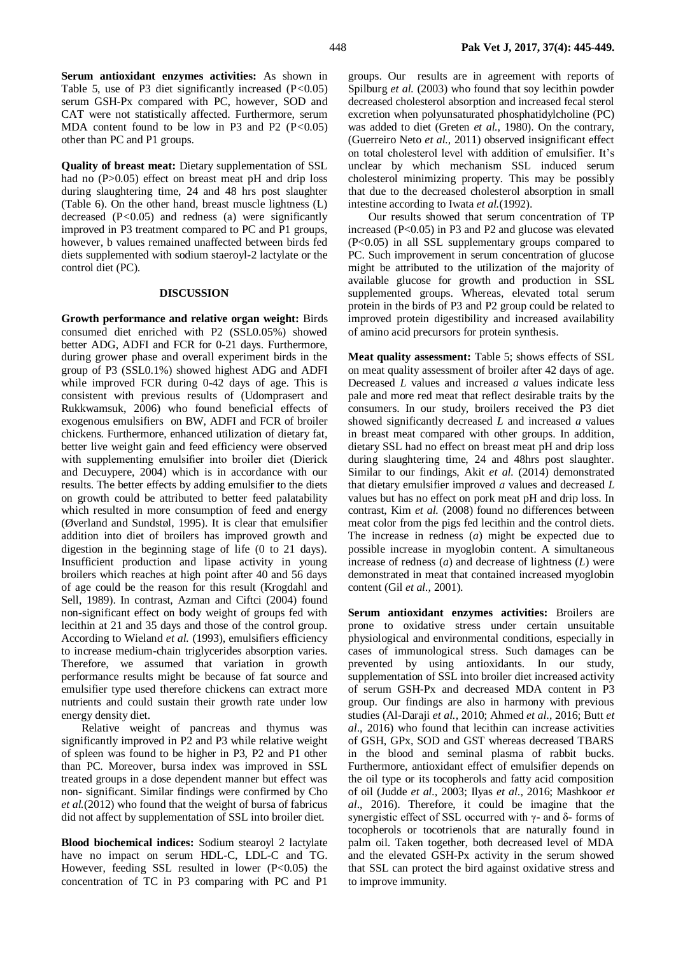**Serum antioxidant enzymes activities:** As shown in Table 5, use of P3 diet significantly increased (P*<*0.05) serum GSH-Px compared with PC, however, SOD and CAT were not statistically affected. Furthermore, serum MDA content found to be low in P3 and P2 (P*<*0.05) other than PC and P1 groups.

**Quality of breast meat:** Dietary supplementation of SSL had no (P>0.05) effect on breast meat pH and drip loss during slaughtering time, 24 and 48 hrs post slaughter (Table 6). On the other hand, breast muscle lightness (L) decreased (P*<*0.05) and redness (a) were significantly improved in P3 treatment compared to PC and P1 groups, however, b values remained unaffected between birds fed diets supplemented with sodium staeroyl-2 lactylate or the control diet (PC).

#### **DISCUSSION**

**Growth performance and relative organ weight:** Birds consumed diet enriched with P2 (SSL0.05%) showed better ADG, ADFI and FCR for 0-21 days. Furthermore, during grower phase and overall experiment birds in the group of P3 (SSL0.1%) showed highest ADG and ADFI while improved FCR during 0-42 days of age. This is consistent with previous results of [\(Udomprasert and](#page-4-11)  [Rukkwamsuk, 2006\)](#page-4-11) who found beneficial effects of exogenous emulsifiers on BW, ADFI and FCR of broiler chickens. Furthermore, enhanced utilization of dietary fat, better live weight gain and feed efficiency were observed with supplementing emulsifier into broiler diet [\(Dierick](#page-4-12)  [and Decuypere, 2004\)](#page-4-12) which is in accordance with our results. The better effects by adding emulsifier to the diets on growth could be attributed to better feed palatability which resulted in more consumption of feed and energy [\(Øverland and Sundstøl, 1995\)](#page-4-13). It is clear that emulsifier addition into diet of broilers has improved growth and digestion in the beginning stage of life (0 to 21 days). Insufficient production and lipase activity in young broilers which reaches at high point after 40 and 56 days of age could be the reason for this result [\(Krogdahl and](#page-4-14)  [Sell, 1989\)](#page-4-14). In contrast, Azman and Ciftci [\(2004\)](#page-4-15) found non-significant effect on body weight of groups fed with lecithin at 21 and 35 days and those of the control group. According to Wieland *et al.* [\(1993\)](#page-4-16), emulsifiers efficiency to increase medium-chain triglycerides absorption varies. Therefore, we assumed that variation in growth performance results might be because of fat source and emulsifier type used therefore chickens can extract more nutrients and could sustain their growth rate under low energy density diet.

Relative weight of pancreas and thymus was significantly improved in P2 and P3 while relative weight of spleen was found to be higher in P3, P2 and P1 other than PC. Moreover, bursa index was improved in SSL treated groups in a dose dependent manner but effect was non- significant. Similar findings were confirmed by [Cho](#page-4-17)  *et al.*[\(2012\)](#page-4-17) who found that the weight of bursa of fabricus did not affect by supplementation of SSL into broiler diet.

**Blood biochemical indices:** Sodium stearoyl 2 lactylate have no impact on serum HDL-C, LDL-C and TG. However, feeding SSL resulted in lower (P<0.05) the concentration of TC in P3 comparing with PC and P1

groups. Our results are in agreement with reports of [Spilburg](#page-4-18) *et al.* (2003) who found that soy lecithin powder decreased cholesterol absorption and increased fecal sterol excretion when polyunsaturated phosphatidylcholine (PC) was added to diet [\(Greten](#page-4-19) *et al.,* 1980). On the contrary, [\(Guerreiro Neto](#page-4-20) *et al.,* 2011) observed insignificant effect on total cholesterol level with addition of emulsifier. It's unclear by which mechanism SSL induced serum cholesterol minimizing property. This may be possibly that due to the decreased cholesterol absorption in small intestine according t[o Iwata](#page-4-21) *et al.*(1992).

Our results showed that serum concentration of TP increased (P<0.05) in P3 and P2 and glucose was elevated (P<0.05) in all SSL supplementary groups compared to PC. Such improvement in serum concentration of glucose might be attributed to the utilization of the majority of available glucose for growth and production in SSL supplemented groups. Whereas, elevated total serum protein in the birds of P3 and P2 group could be related to improved protein digestibility and increased availability of amino acid precursors for protein synthesis.

**Meat quality assessment:** Table 5; shows effects of SSL on meat quality assessment of broiler after 42 days of age. Decreased *L* values and increased *a* values indicate less pale and more red meat that reflect desirable traits by the consumers. In our study, broilers received the P3 diet showed significantly decreased *L* and increased *a* values in breast meat compared with other groups. In addition, dietary SSL had no effect on breast meat pH and drip loss during slaughtering time, 24 and 48hrs post slaughter. Similar to our findings, Akit *et al.* [\(2014\)](#page-4-22) demonstrated that dietary emulsifier improved *a* values and decreased *L* values but has no effect on pork meat pH and drip loss. In contrast, Kim *et al.* [\(2008\)](#page-4-23) found no differences between meat color from the pigs fed lecithin and the control diets. The increase in redness (*a*) might be expected due to possible increase in myoglobin content. A simultaneous increase of redness (*a*) and decrease of lightness (*L*) were demonstrated in meat that contained increased myoglobin content (Gil *[et al.,](#page-4-24)* 2001).

**Serum antioxidant enzymes activities:** Broilers are prone to oxidative stress under certain unsuitable physiological and environmental conditions, especially in cases of immunological stress. Such damages can be prevented by using antioxidants. In our study, supplementation of SSL into broiler diet increased activity of serum GSH-Px and decreased MDA content in P3 group. Our findings are also in harmony with previous studies [\(Al-Daraji](#page-4-25) *et al.,* 2010; Ahmed *et al*., 2016; Butt *et al*., 2016) who found that lecithin can increase activities of GSH, GPx, SOD and GST whereas decreased TBARS in the blood and seminal plasma of rabbit bucks. Furthermore, antioxidant effect of emulsifier depends on the oil type or its tocopherols and fatty acid composition of oil [\(Judde](#page-4-26) *et al.,* 2003; Ilyas *et al*., 2016; Mashkoor *et al*., 2016). Therefore, it could be imagine that the synergistic effect of SSL occurred with γ- and δ- forms of tocopherols or tocotrienols that are naturally found in palm oil. Taken together, both decreased level of MDA and the elevated GSH-Px activity in the serum showed that SSL can protect the bird against oxidative stress and to improve immunity.